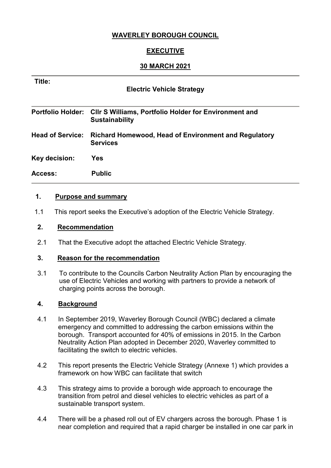# **WAVERLEY BOROUGH COUNCIL**

# **EXECUTIVE**

## **30 MARCH 2021**

| Title:<br><b>Electric Vehicle Strategy</b> |                                                                                       |  |  |
|--------------------------------------------|---------------------------------------------------------------------------------------|--|--|
| <b>Portfolio Holder:</b>                   | <b>CIIr S Williams, Portfolio Holder for Environment and</b><br><b>Sustainability</b> |  |  |
| <b>Head of Service:</b>                    | Richard Homewood, Head of Environment and Regulatory<br><b>Services</b>               |  |  |
| Key decision:                              | Yes                                                                                   |  |  |
| Access:                                    | <b>Public</b>                                                                         |  |  |

## **1. Purpose and summary**

1.1 This report seeks the Executive's adoption of the Electric Vehicle Strategy.

## **2. Recommendation**

2.1 That the Executive adopt the attached Electric Vehicle Strategy.

#### **3. Reason for the recommendation**

3.1 To contribute to the Councils Carbon Neutrality Action Plan by encouraging the use of Electric Vehicles and working with partners to provide a network of charging points across the borough.

## **4. Background**

- 4.1 In September 2019, Waverley Borough Council (WBC) declared a climate emergency and committed to addressing the carbon emissions within the borough. Transport accounted for 40% of emissions in 2015. In the Carbon Neutrality Action Plan adopted in December 2020, Waverley committed to facilitating the switch to electric vehicles.
- 4.2 This report presents the Electric Vehicle Strategy (Annexe 1) which provides a framework on how WBC can facilitate that switch
- 4.3 This strategy aims to provide a borough wide approach to encourage the transition from petrol and diesel vehicles to electric vehicles as part of a sustainable transport system.
- 4.4 There will be a phased roll out of EV chargers across the borough. Phase 1 is near completion and required that a rapid charger be installed in one car park in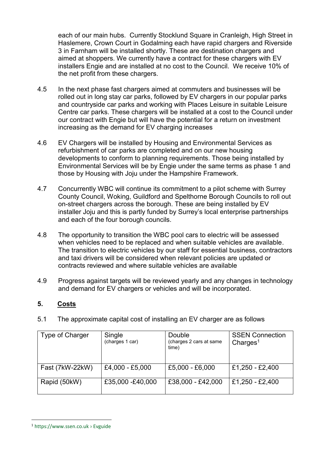each of our main hubs. Currently Stocklund Square in Cranleigh, High Street in Haslemere, Crown Court in Godalming each have rapid chargers and Riverside 3 in Farnham will be installed shortly. These are destination chargers and aimed at shoppers. We currently have a contract for these chargers with EV installers Engie and are installed at no cost to the Council. We receive 10% of the net profit from these chargers.

- 4.5 In the next phase fast chargers aimed at commuters and businesses will be rolled out in long stay car parks, followed by EV chargers in our popular parks and countryside car parks and working with Places Leisure in suitable Leisure Centre car parks. These chargers will be installed at a cost to the Council under our contract with Engie but will have the potential for a return on investment increasing as the demand for EV charging increases
- 4.6 EV Chargers will be installed by Housing and Environmental Services as refurbishment of car parks are completed and on our new housing developments to conform to planning requirements. Those being installed by Environmental Services will be by Engie under the same terms as phase 1 and those by Housing with Joju under the Hampshire Framework.
- 4.7 Concurrently WBC will continue its commitment to a pilot scheme with Surrey County Council, Woking, Guildford and Spelthorne Borough Councils to roll out on-street chargers across the borough. These are being installed by EV installer Joju and this is partly funded by Surrey's local enterprise partnerships and each of the four borough councils.
- 4.8 The opportunity to transition the WBC pool cars to electric will be assessed when vehicles need to be replaced and when suitable vehicles are available. The transition to electric vehicles by our staff for essential business, contractors and taxi drivers will be considered when relevant policies are updated or contracts reviewed and where suitable vehicles are available
- 4.9 Progress against targets will be reviewed yearly and any changes in technology and demand for EV chargers or vehicles and will be incorporated.

## **5. Costs**

5.1 The approximate capital cost of installing an EV charger are as follows

| Type of Charger | Single<br>(charges 1 car) | Double<br>(charges 2 cars at same<br>time) | <b>SSEN Connection</b><br>Charges <sup>1</sup> |
|-----------------|---------------------------|--------------------------------------------|------------------------------------------------|
| Fast (7kW-22kW) | £4,000 - £5,000           | $£5,000 - £6,000$                          | £1,250 - £2,400                                |
| Rapid (50kW)    | £35,000 -£40,000          | £38,000 - £42,000                          | £1,250 - £2,400                                |

<u>.</u>

<sup>1</sup> https://www.ssen.co.uk › Evguide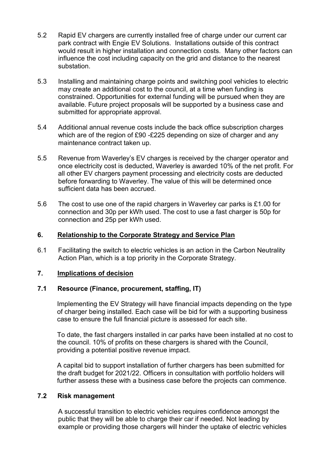- 5.2 Rapid EV chargers are currently installed free of charge under our current car park contract with Engie EV Solutions. Installations outside of this contract would result in higher installation and connection costs. Many other factors can influence the cost including capacity on the grid and distance to the nearest substation.
- 5.3 Installing and maintaining charge points and switching pool vehicles to electric may create an additional cost to the council, at a time when funding is constrained. Opportunities for external funding will be pursued when they are available. Future project proposals will be supported by a business case and submitted for appropriate approval.
- 5.4 Additional annual revenue costs include the back office subscription charges which are of the region of £90 -£225 depending on size of charger and any maintenance contract taken up.
- 5.5 Revenue from Waverley's EV charges is received by the charger operator and once electricity cost is deducted, Waverley is awarded 10% of the net profit. For all other EV chargers payment processing and electricity costs are deducted before forwarding to Waverley. The value of this will be determined once sufficient data has been accrued.
- 5.6 The cost to use one of the rapid chargers in Waverley car parks is £1.00 for connection and 30p per kWh used. The cost to use a fast charger is 50p for connection and 25p per kWh used.

### **6. Relationship to the Corporate Strategy and Service Plan**

6.1 Facilitating the switch to electric vehicles is an action in the Carbon Neutrality Action Plan, which is a top priority in the Corporate Strategy.

#### **7. Implications of decision**

#### **7.1 Resource (Finance, procurement, staffing, IT)**

Implementing the EV Strategy will have financial impacts depending on the type of charger being installed. Each case will be bid for with a supporting business case to ensure the full financial picture is assessed for each site.

To date, the fast chargers installed in car parks have been installed at no cost to the council. 10% of profits on these chargers is shared with the Council, providing a potential positive revenue impact.

A capital bid to support installation of further chargers has been submitted for the draft budget for 2021/22. Officers in consultation with portfolio holders will further assess these with a business case before the projects can commence.

#### **7.2 Risk management**

A successful transition to electric vehicles requires confidence amongst the public that they will be able to charge their car if needed. Not leading by example or providing those chargers will hinder the uptake of electric vehicles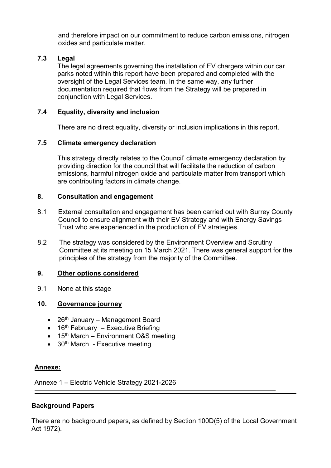and therefore impact on our commitment to reduce carbon emissions, nitrogen oxides and particulate matter.

# **7.3 Legal**

The legal agreements governing the installation of EV chargers within our car parks noted within this report have been prepared and completed with the oversight of the Legal Services team. In the same way, any further documentation required that flows from the Strategy will be prepared in conjunction with Legal Services.

## **7.4 Equality, diversity and inclusion**

There are no direct equality, diversity or inclusion implications in this report.

## **7.5 Climate emergency declaration**

This strategy directly relates to the Council' climate emergency declaration by providing direction for the council that will facilitate the reduction of carbon emissions, harmful nitrogen oxide and particulate matter from transport which are contributing factors in climate change.

## **8. Consultation and engagement**

- 8.1 External consultation and engagement has been carried out with Surrey County Council to ensure alignment with their EV Strategy and with Energy Savings Trust who are experienced in the production of EV strategies.
- 8.2 The strategy was considered by the Environment Overview and Scrutiny Committee at its meeting on 15 March 2021. There was general support for the principles of the strategy from the majority of the Committee.

## **9. Other options considered**

9.1 None at this stage

## **10. Governance journey**

- $\bullet$  26<sup>th</sup> January Management Board
- $\bullet$  16<sup>th</sup> February Executive Briefing
- $\bullet$  15<sup>th</sup> March Environment O&S meeting
- 30<sup>th</sup> March Executive meeting

## **Annexe:**

Annexe 1 – Electric Vehicle Strategy 2021-2026

## **Background Papers**

There are no background papers, as defined by Section 100D(5) of the Local Government Act 1972).